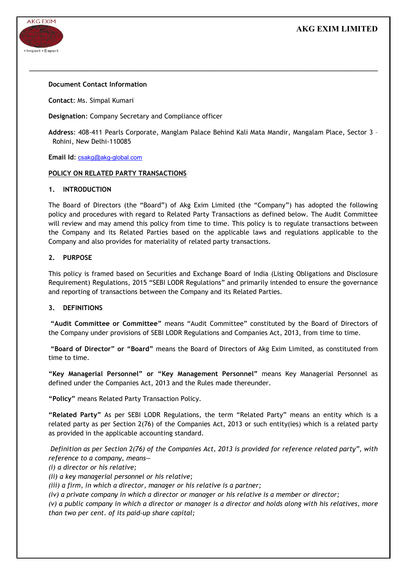

### Document Contact Information

Contact: Ms. Simpal Kumari

Designation: Company Secretary and Compliance officer

Address: 408-411 Pearls Corporate, Manglam Palace Behind Kali Mata Mandir, Mangalam Place, Sector 3 – Rohini, New Delhi-110085

 $\_$ 

Email Id: csakg@akg-global.com

#### ΡΟLΙCΥ ΟΝ RELATED PARTY TRANSACTIONS

#### 1. INTRODUCTION

The Board of Directors (the "Board") of Akg Exim Limited (the "Company") has adopted the following policy and procedures with regard to Related Party Transactions as defined below. The Audit Committee will review and may amend this policy from time to time. This policy is to regulate transactions between the Company and its Related Parties based on the applicable laws and regulations applicable to the Company and also provides for materiality of related party transactions.

#### 2. PURPOSE

This policy is framed based on Securities and Exchange Board of India (Listing Obligations and Disclosure Requirement) Regulations, 2015 "SEBI LODR Regulations" and primarily intended to ensure the governance and reporting of transactions between the Company and its Related Parties.

### 3. DEFINITIONS

 "Audit Committee or Committee" means "Audit Committee" constituted by the Board of Directors of the Company under provisions of SEBI LODR Regulations and Companies Act, 2013, from time to time.

 "Board of Director" or "Board" means the Board of Directors of Akg Exim Limited, as constituted from time to time.

"Key Managerial Personnel" or "Key Management Personnel" means Key Managerial Personnel as defined under the Companies Act, 2013 and the Rules made thereunder.

"Policy" means Related Party Transaction Policy.

"Related Party" As per SEBI LODR Regulations, the term "Related Party" means an entity which is a related party as per Section 2(76) of the Companies Act, 2013 or such entity(ies) which is a related party as provided in the applicable accounting standard.

 Definition as per Section 2(76) of the Companies Act, 2013 is provided for reference related party", with reference to a company, means—

(i) a director or his relative;

(ii) a key managerial personnel or his relative;

(iii) a firm, in which a director, manager or his relative is a partner;

(iv) a private company in which a director or manager or his relative is a member or director;

(v) a public company in which a director or manager is a director and holds along with his relatives, more than two per cent. of its paid-up share capital;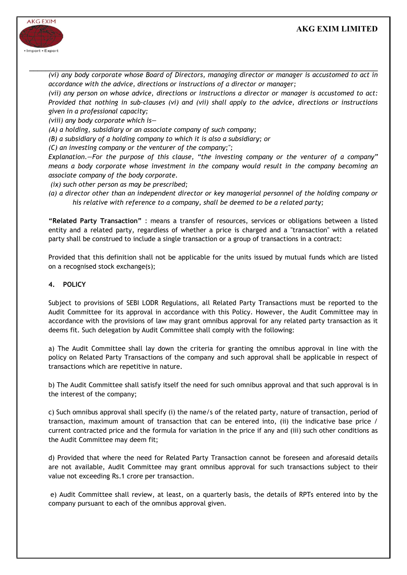# AKG EXIM LIMITED



 $\_$ (vi) any body corporate whose Board of Directors, managing director or manager is accustomed to act in accordance with the advice, directions or instructions of a director or manager;

(vii) any person on whose advice, directions or instructions a director or manager is accustomed to act: Provided that nothing in sub-clauses (vi) and (vii) shall apply to the advice, directions or instructions given in a professional capacity;

(viii) any body corporate which is—

(A) a holding, subsidiary or an associate company of such company;

(B) a subsidiary of a holding company to which it is also a subsidiary; or

(C) an investing company or the venturer of the company;";

Explanation.—For the purpose of this clause, "the investing company or the venturer of a company" means a body corporate whose investment in the company would result in the company becoming an associate company of the body corporate.

(ix) such other person as may be prescribed;

(a) a director other than an independent director or key managerial personnel of the holding company or his relative with reference to a company, shall be deemed to be a related party;

"Related Party Transaction" : means a transfer of resources, services or obligations between a listed entity and a related party, regardless of whether a price is charged and a "transaction" with a related party shall be construed to include a single transaction or a group of transactions in a contract:

Provided that this definition shall not be applicable for the units issued by mutual funds which are listed on a recognised stock exchange(s);

## 4. POLICY

Subject to provisions of SEBI LODR Regulations, all Related Party Transactions must be reported to the Audit Committee for its approval in accordance with this Policy. However, the Audit Committee may in accordance with the provisions of law may grant omnibus approval for any related party transaction as it deems fit. Such delegation by Audit Committee shall comply with the following:

a) The Audit Committee shall lay down the criteria for granting the omnibus approval in line with the policy on Related Party Transactions of the company and such approval shall be applicable in respect of transactions which are repetitive in nature.

b) The Audit Committee shall satisfy itself the need for such omnibus approval and that such approval is in the interest of the company;

c) Such omnibus approval shall specify (i) the name/s of the related party, nature of transaction, period of transaction, maximum amount of transaction that can be entered into, (ii) the indicative base price / current contracted price and the formula for variation in the price if any and (iii) such other conditions as the Audit Committee may deem fit;

d) Provided that where the need for Related Party Transaction cannot be foreseen and aforesaid details are not available, Audit Committee may grant omnibus approval for such transactions subject to their value not exceeding Rs.1 crore per transaction.

 e) Audit Committee shall review, at least, on a quarterly basis, the details of RPTs entered into by the company pursuant to each of the omnibus approval given.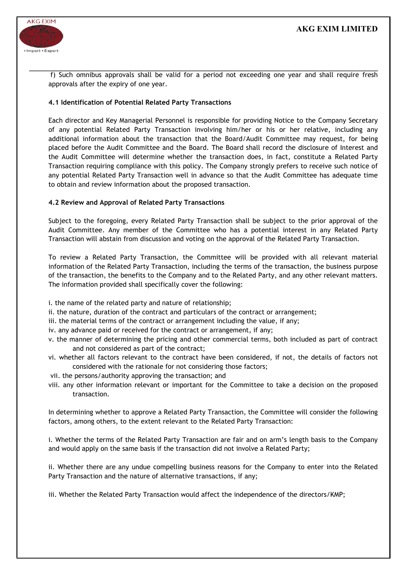

 $\_$  f) Such omnibus approvals shall be valid for a period not exceeding one year and shall require fresh approvals after the expiry of one year.

# 4.1 Identification of Potential Related Party Transactions

Each director and Key Managerial Personnel is responsible for providing Notice to the Company Secretary of any potential Related Party Transaction involving him/her or his or her relative, including any additional information about the transaction that the Board/Audit Committee may request, for being placed before the Audit Committee and the Board. The Board shall record the disclosure of Interest and the Audit Committee will determine whether the transaction does, in fact, constitute a Related Party Transaction requiring compliance with this policy. The Company strongly prefers to receive such notice of any potential Related Party Transaction well in advance so that the Audit Committee has adequate time to obtain and review information about the proposed transaction.

# 4.2 Review and Approval of Related Party Transactions

Subject to the foregoing, every Related Party Transaction shall be subject to the prior approval of the Audit Committee. Any member of the Committee who has a potential interest in any Related Party Transaction will abstain from discussion and voting on the approval of the Related Party Transaction.

To review a Related Party Transaction, the Committee will be provided with all relevant material information of the Related Party Transaction, including the terms of the transaction, the business purpose of the transaction, the benefits to the Company and to the Related Party, and any other relevant matters. The information provided shall specifically cover the following:

- i. the name of the related party and nature of relationship;
- ii. the nature, duration of the contract and particulars of the contract or arrangement;
- iii. the material terms of the contract or arrangement including the value, if any;
- iv. any advance paid or received for the contract or arrangement, if any;
- v. the manner of determining the pricing and other commercial terms, both included as part of contract and not considered as part of the contract;
- vi. whether all factors relevant to the contract have been considered, if not, the details of factors not considered with the rationale for not considering those factors;
- vii. the persons/authority approving the transaction; and
- viii. any other information relevant or important for the Committee to take a decision on the proposed transaction.

In determining whether to approve a Related Party Transaction, the Committee will consider the following factors, among others, to the extent relevant to the Related Party Transaction:

i. Whether the terms of the Related Party Transaction are fair and on arm's length basis to the Company and would apply on the same basis if the transaction did not involve a Related Party;

ii. Whether there are any undue compelling business reasons for the Company to enter into the Related Party Transaction and the nature of alternative transactions, if any;

iii. Whether the Related Party Transaction would affect the independence of the directors/KMP;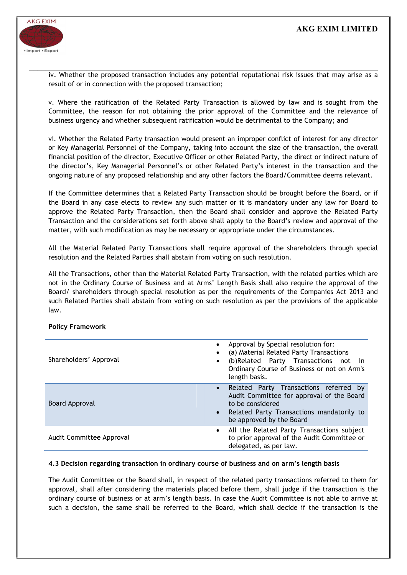

 $\_$ iv. Whether the proposed transaction includes any potential reputational risk issues that may arise as a result of or in connection with the proposed transaction;

v. Where the ratification of the Related Party Transaction is allowed by law and is sought from the Committee, the reason for not obtaining the prior approval of the Committee and the relevance of business urgency and whether subsequent ratification would be detrimental to the Company; and

vi. Whether the Related Party transaction would present an improper conflict of interest for any director or Key Managerial Personnel of the Company, taking into account the size of the transaction, the overall financial position of the director, Executive Officer or other Related Party, the direct or indirect nature of the director's, Key Managerial Personnel's or other Related Party's interest in the transaction and the ongoing nature of any proposed relationship and any other factors the Board/Committee deems relevant.

If the Committee determines that a Related Party Transaction should be brought before the Board, or if the Board in any case elects to review any such matter or it is mandatory under any law for Board to approve the Related Party Transaction, then the Board shall consider and approve the Related Party Transaction and the considerations set forth above shall apply to the Board's review and approval of the matter, with such modification as may be necessary or appropriate under the circumstances.

All the Material Related Party Transactions shall require approval of the shareholders through special resolution and the Related Parties shall abstain from voting on such resolution.

All the Transactions, other than the Material Related Party Transaction, with the related parties which are not in the Ordinary Course of Business and at Arms' Length Basis shall also require the approval of the Board/ shareholders through special resolution as per the requirements of the Companies Act 2013 and such Related Parties shall abstain from voting on such resolution as per the provisions of the applicable law.

| Shareholders' Approval   | Approval by Special resolution for:<br>(a) Material Related Party Transactions<br>(b)Related Party Transactions not in<br>$\bullet$<br>Ordinary Course of Business or not on Arm's<br>length basis. |
|--------------------------|-----------------------------------------------------------------------------------------------------------------------------------------------------------------------------------------------------|
| Board Approval           | Related Party Transactions referred by<br>Audit Committee for approval of the Board<br>to be considered<br>Related Party Transactions mandatorily to<br>$\bullet$<br>be approved by the Board       |
| Audit Committee Approval | All the Related Party Transactions subject<br>$\bullet$<br>to prior approval of the Audit Committee or<br>delegated, as per law.                                                                    |

# Policy Framework

### 4.3 Decision regarding transaction in ordinary course of business and on arm's length basis

The Audit Committee or the Board shall, in respect of the related party transactions referred to them for approval, shall after considering the materials placed before them, shall judge if the transaction is the ordinary course of business or at arm's length basis. In case the Audit Committee is not able to arrive at such a decision, the same shall be referred to the Board, which shall decide if the transaction is the